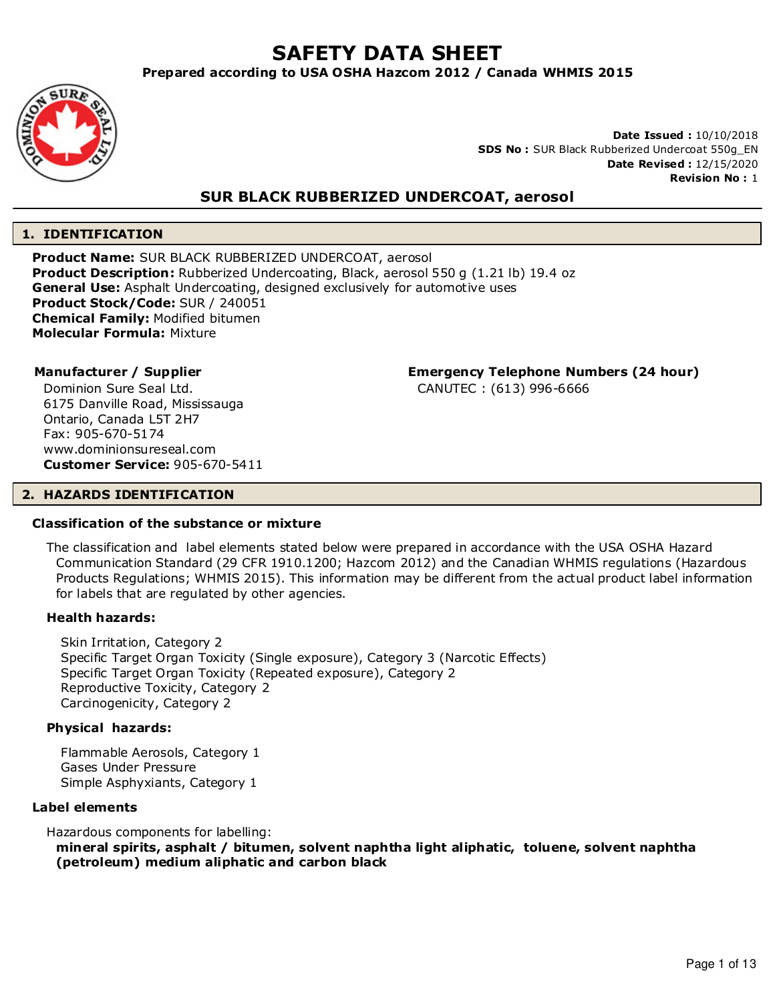# **SAFETY DATA SHEET**

**Prepared according to USA OSHA Hazcom 2012 / Canada WHMIS 2015**



**Date Issued :** 10/10/2018 **SDS No :** SUR Black Rubberized Undercoat 550g\_EN **Date Revised :** 12/15/2020 **Revision No :** 1

# **SUR BLACK RUBBERIZED UNDERCOAT, aerosol**

#### **1. IDENTIFICATION**

**Product Name:** SUR BLACK RUBBERIZED UNDERCOAT, aerosol **Product Description:** Rubberized Undercoating, Black, aerosol 550 g (1.21 lb) 19.4 oz **General Use:** Asphalt Undercoating, designed exclusively for automotive uses **Product Stock/Code:** SUR / 240051 **Chemical Family:** Modified bitumen **Molecular Formula:** Mixture

Dominion Sure Seal Ltd. 6175 Danville Road, Mississauga Ontario, Canada L5T 2H7 Fax: 905-670-5174 www.dominionsureseal.com **Customer Service:** 905-670-5411

**Manufacturer / Supplier Emergency Telephone Numbers (24 hour)**

CANUTEC : (613) 996-6666

# **2. HAZARDS IDENTIFICATION**

# **Classification of the substance or mixture**

The classification and label elements stated below were prepared in accordance with the USA OSHA Hazard Communication Standard (29 CFR 1910.1200; Hazcom 2012) and the Canadian WHMIS regulations (Hazardous Products Regulations; WHMIS 2015). This information may be different from the actual product label information for labels that are regulated by other agencies.

#### **Health hazards:**

Skin Irritation, Category 2 Specific Target Organ Toxicity (Single exposure), Category 3 (Narcotic Effects) Specific Target Organ Toxicity (Repeated exposure), Category 2 Reproductive Toxicity, Category 2 Carcinogenicity, Category 2

#### **Physical hazards:**

Flammable Aerosols, Category 1 Gases Under Pressure Simple Asphyxiants, Category 1

#### **Label elements**

Hazardous components for labelling:

**mineral spirits, asphalt / bitumen, solvent naphtha light aliphatic, toluene, solvent naphtha (petroleum) medium aliphatic and carbon black**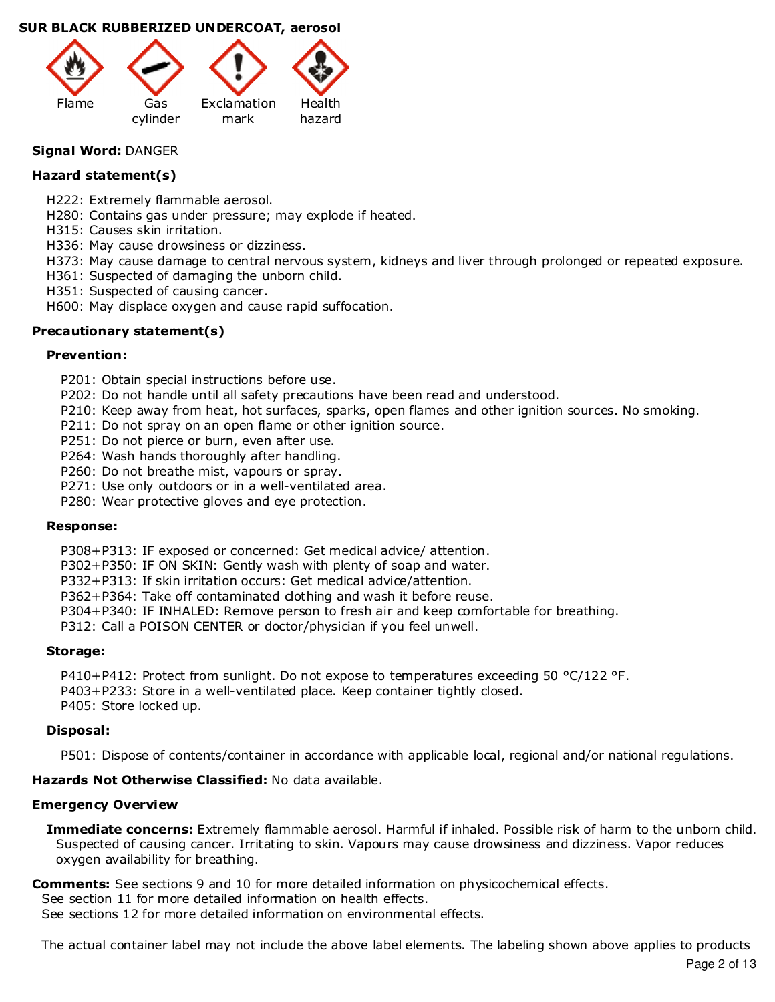

# **Signal Word:** DANGER

# **Hazard statement(s)**

H222: Extremely flammable aerosol.

H280: Contains gas under pressure; may explode if heated.

H315: Causes skin irritation.

H336: May cause drowsiness or dizziness.

H373: May cause damage to central nervous system, kidneys and liver through prolonged or repeated exposure.

H361: Suspected of damaging the unborn child.

H351: Suspected of causing cancer.

H600: May displace oxygen and cause rapid suffocation.

# **Precautionary statement(s)**

# **Prevention:**

P201: Obtain special instructions before use.

P202: Do not handle until all safety precautions have been read and understood.

P210: Keep away from heat, hot surfaces, sparks, open flames and other ignition sources. No smoking.

P211: Do not spray on an open flame or other ignition source.

P251: Do not pierce or burn, even after use.

P264: Wash hands thoroughly after handling.

P260: Do not breathe mist, vapours or spray.

P271: Use only outdoors or in a well-ventilated area.

P280: Wear protective gloves and eye protection.

#### **Response:**

P308+P313: IF exposed or concerned: Get medical advice/ attention.

P302+P350: IF ON SKIN: Gently wash with plenty of soap and water.

P332+P313: If skin irritation occurs: Get medical advice/attention.

P362+P364: Take off contaminated clothing and wash it before reuse.

P304+P340: IF INHALED: Remove person to fresh air and keep comfortable for breathing.

P312: Call a POISON CENTER or doctor/physician if you feel unwell.

#### **Storage:**

P410+P412: Protect from sunlight. Do not expose to temperatures exceeding 50 °C/122 °F. P403+P233: Store in a well-ventilated place. Keep container tightly closed. P405: Store locked up.

#### **Disposal:**

P501: Dispose of contents/container in accordance with applicable local, regional and/or national regulations.

**Hazards Not Otherwise Classified:** No data available.

#### **Emergency Overview**

**Immediate concerns:** Extremely flammable aerosol. Harmful if inhaled. Possible risk of harm to the unborn child. Suspected of causing cancer. Irritating to skin. Vapours may cause drowsiness and dizziness. Vapor reduces oxygen availability for breathing.

**Comments:** See sections 9 and 10 for more detailed information on physicochemical effects.

See section 11 for more detailed information on health effects.

See sections 12 for more detailed information on environmental effects.

The actual container label may not include the above label elements. The labeling shown above applies to products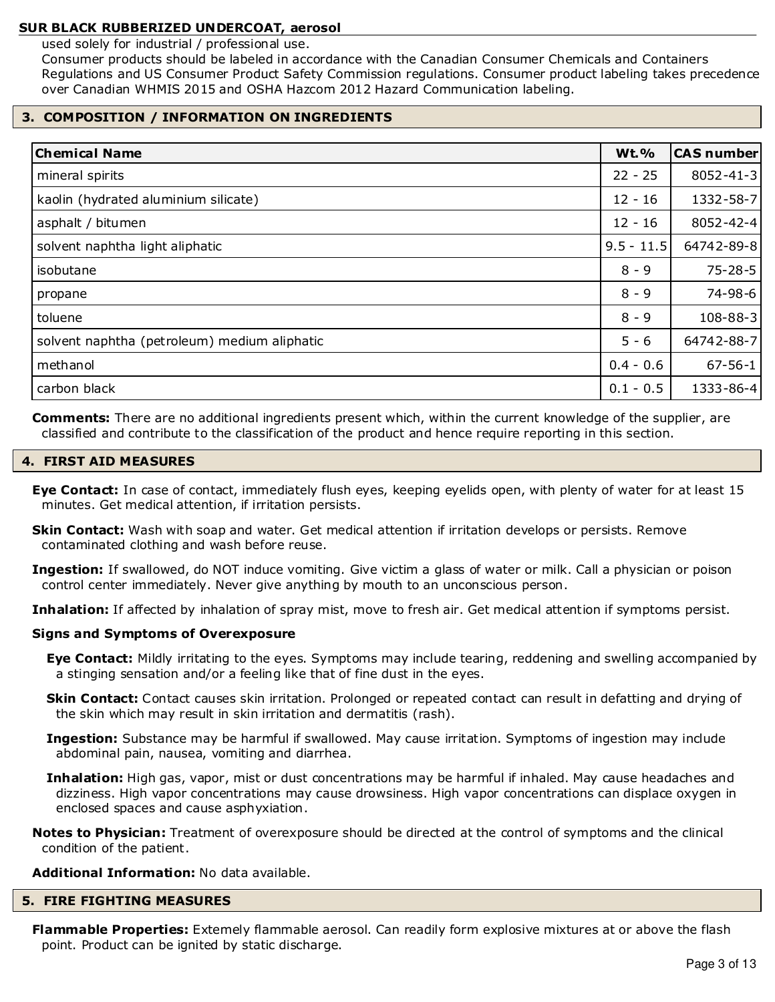used solely for industrial / professional use.

Consumer products should be labeled in accordance with the Canadian Consumer Chemicals and Containers Regulations and US Consumer Product Safety Commission regulations. Consumer product labeling takes precedence over Canadian WHMIS 2015 and OSHA Hazcom 2012 Hazard Communication labeling.

# **3. COMPOSITION / INFORMATION ON INGREDIENTS**

| <b>Chemical Name</b>                         | <b>Wt.%</b>  | <b>CAS number</b> |
|----------------------------------------------|--------------|-------------------|
| mineral spirits                              | $22 - 25$    | $8052 - 41 - 3$   |
| kaolin (hydrated aluminium silicate)         | $12 - 16$    | 1332-58-7         |
| asphalt / bitumen                            | $12 - 16$    | $8052 - 42 - 4$   |
| solvent naphtha light aliphatic              | $9.5 - 11.5$ | 64742-89-8        |
| isobutane                                    | $8 - 9$      | $75 - 28 - 5$     |
| propane                                      | $8 - 9$      | 74-98-6           |
| toluene                                      | $8 - 9$      | 108-88-3          |
| solvent naphtha (petroleum) medium aliphatic | $5 - 6$      | 64742-88-7        |
| methanol                                     | $0.4 - 0.6$  | $67 - 56 - 1$     |
| carbon black                                 | $0.1 - 0.5$  | 1333-86-4         |

**Comments:** There are no additional ingredients present which, within the current knowledge of the supplier, are classified and contribute to the classification of the product and hence require reporting in this section.

# **4. FIRST AID MEASURES**

- **Eye Contact:** In case of contact, immediately flush eyes, keeping eyelids open, with plenty of water for at least 15 minutes. Get medical attention, if irritation persists.
- **Skin Contact:** Wash with soap and water. Get medical attention if irritation develops or persists. Remove contaminated clothing and wash before reuse.
- **Ingestion:** If swallowed, do NOT induce vomiting. Give victim a glass of water or milk. Call a physician or poison control center immediately. Never give anything by mouth to an unconscious person.
- **Inhalation:** If affected by inhalation of spray mist, move to fresh air. Get medical attention if symptoms persist.

# **Signs and Symptoms of Overexposure**

- **Eye Contact:** Mildly irritating to the eyes. Symptoms may include tearing, reddening and swelling accompanied by a stinging sensation and/or a feeling like that of fine dust in the eyes.
- **Skin Contact:** Contact causes skin irritation. Prolonged or repeated contact can result in defatting and drying of the skin which may result in skin irritation and dermatitis (rash).
- **Ingestion:** Substance may be harmful if swallowed. May cause irritation. Symptoms of ingestion may include abdominal pain, nausea, vomiting and diarrhea.
- **Inhalation:** High gas, vapor, mist or dust concentrations may be harmful if inhaled. May cause headaches and dizziness. High vapor concentrations may cause drowsiness. High vapor concentrations can displace oxygen in enclosed spaces and cause asphyxiation.
- **Notes to Physician:** Treatment of overexposure should be directed at the control of symptoms and the clinical condition of the patient.

#### **Additional Information:** No data available.

#### **5. FIRE FIGHTING MEASURES**

**Flammable Properties:** Extemely flammable aerosol. Can readily form explosive mixtures at or above the flash point. Product can be ignited by static discharge.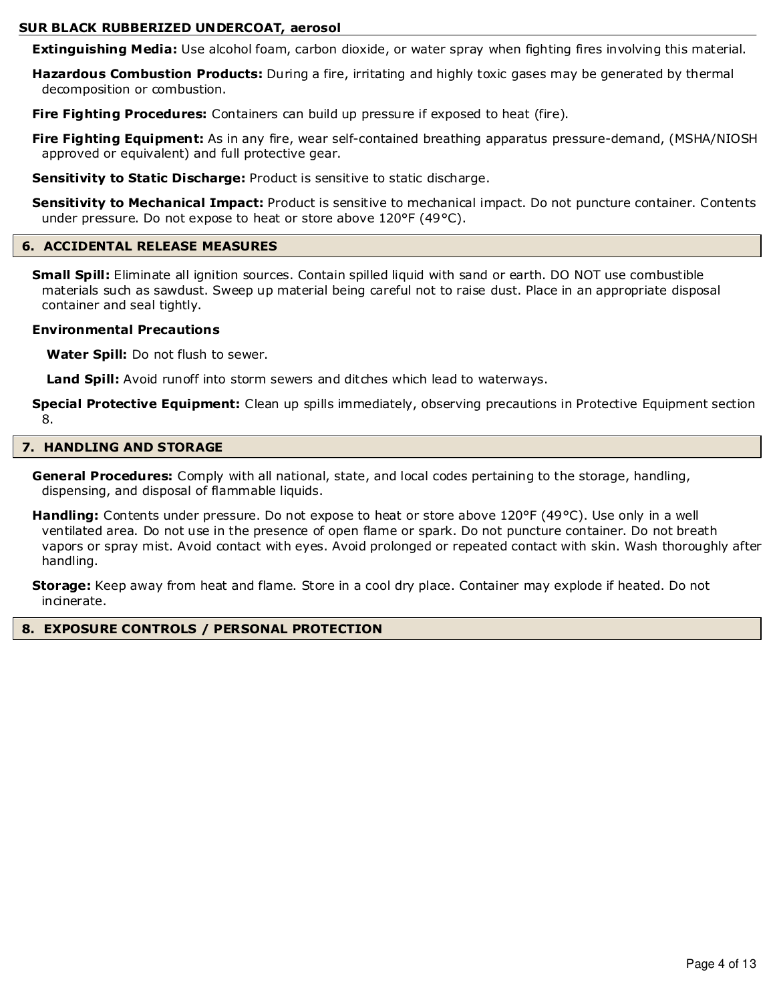**Extinguishing Media:** Use alcohol foam, carbon dioxide, or water spray when fighting fires involving this material.

**Hazardous Combustion Products:** During a fire, irritating and highly toxic gases may be generated by thermal decomposition or combustion.

**Fire Fighting Procedures:** Containers can build up pressure if exposed to heat (fire).

**Fire Fighting Equipment:** As in any fire, wear self-contained breathing apparatus pressure-demand, (MSHA/NIOSH approved or equivalent) and full protective gear.

**Sensitivity to Static Discharge:** Product is sensitive to static discharge.

**Sensitivity to Mechanical Impact:** Product is sensitive to mechanical impact. Do not puncture container. Contents under pressure. Do not expose to heat or store above 120°F (49°C).

#### **6. ACCIDENTAL RELEASE MEASURES**

**Small Spill:** Eliminate all ignition sources. Contain spilled liquid with sand or earth. DO NOT use combustible materials such as sawdust. Sweep up material being careful not to raise dust. Place in an appropriate disposal container and seal tightly.

#### **Environmental Precautions**

**Water Spill:** Do not flush to sewer.

**Land Spill:** Avoid runoff into storm sewers and ditches which lead to waterways.

**Special Protective Equipment:** Clean up spills immediately, observing precautions in Protective Equipment section 8.

#### **7. HANDLING AND STORAGE**

**General Procedures:** Comply with all national, state, and local codes pertaining to the storage, handling, dispensing, and disposal of flammable liquids.

**Handling:** Contents under pressure. Do not expose to heat or store above 120°F (49°C). Use only in a well ventilated area. Do not use in the presence of open flame or spark. Do not puncture container. Do not breath vapors or spray mist. Avoid contact with eyes. Avoid prolonged or repeated contact with skin. Wash thoroughly after handling.

**Storage:** Keep away from heat and flame. Store in a cool dry place. Container may explode if heated. Do not incinerate.

#### **8. EXPOSURE CONTROLS / PERSONAL PROTECTION**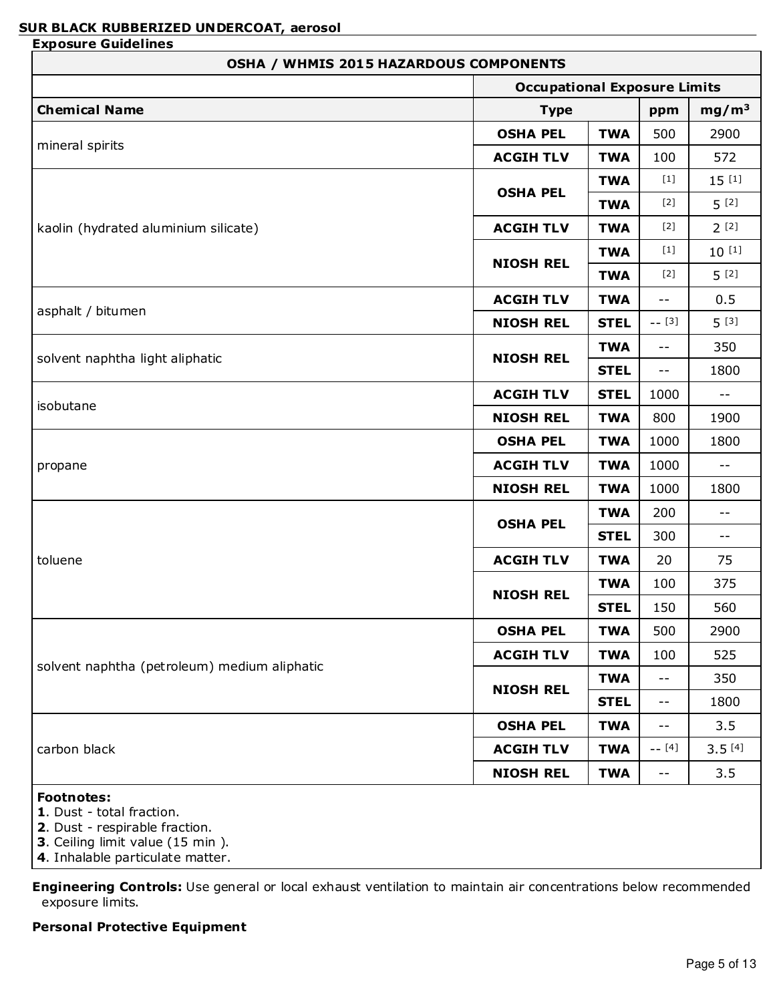| <b>OSHA / WHMIS 2015 HAZARDOUS COMPONENTS</b> |                                     |             |                                               |                            |
|-----------------------------------------------|-------------------------------------|-------------|-----------------------------------------------|----------------------------|
|                                               | <b>Occupational Exposure Limits</b> |             |                                               |                            |
| <b>Chemical Name</b>                          | <b>Type</b>                         |             | ppm                                           | mg/m <sup>3</sup>          |
|                                               | <b>OSHA PEL</b>                     | <b>TWA</b>  | 500                                           | 2900                       |
| mineral spirits                               | <b>ACGIH TLV</b>                    | <b>TWA</b>  | 100                                           | 572                        |
|                                               |                                     | <b>TWA</b>  | $[1]$                                         | $15^{[1]}$                 |
|                                               | <b>OSHA PEL</b>                     | <b>TWA</b>  | $[2]$                                         | $5^{[2]}$                  |
| kaolin (hydrated aluminium silicate)          | <b>ACGIH TLV</b>                    | <b>TWA</b>  | $[2]$                                         | $2^{[2]}$                  |
|                                               |                                     | <b>TWA</b>  | $[1]$                                         | $10^{[1]}$                 |
|                                               | <b>NIOSH REL</b>                    | <b>TWA</b>  | $[2]$                                         | $5^{[2]}$                  |
|                                               | <b>ACGIH TLV</b>                    | <b>TWA</b>  | $ -$                                          | 0.5                        |
| asphalt / bitumen                             | <b>NIOSH REL</b>                    | <b>STEL</b> | $-- [3]$                                      | $5^{[3]}$                  |
|                                               |                                     | <b>TWA</b>  | $ -$                                          | 350                        |
| solvent naphtha light aliphatic               | <b>NIOSH REL</b>                    | <b>STEL</b> | $\mathord{\hspace{1pt}\text{--}\hspace{1pt}}$ | 1800                       |
|                                               | <b>ACGIH TLV</b>                    | <b>STEL</b> | 1000                                          | $- -$                      |
| isobutane                                     | <b>NIOSH REL</b>                    | <b>TWA</b>  | 800                                           | 1900                       |
|                                               | <b>OSHA PEL</b>                     | <b>TWA</b>  | 1000                                          | 1800                       |
| propane                                       | <b>ACGIH TLV</b>                    | <b>TWA</b>  | 1000                                          | $\overline{\phantom{m}}$ . |
|                                               | <b>NIOSH REL</b>                    | <b>TWA</b>  | 1000                                          | 1800                       |
|                                               |                                     | <b>TWA</b>  | 200                                           | $- -$                      |
|                                               | <b>OSHA PEL</b>                     | <b>STEL</b> | 300                                           | $- -$                      |
| toluene                                       | <b>ACGIH TLV</b>                    | <b>TWA</b>  | 20                                            | 75                         |
|                                               |                                     | <b>TWA</b>  | 100                                           | 375                        |
|                                               | <b>NIOSH REL</b>                    | <b>STEL</b> | 150                                           | 560                        |
|                                               | <b>OSHA PEL</b>                     | <b>TWA</b>  | 500                                           | 2900                       |
|                                               | <b>ACGIH TLV</b>                    | <b>TWA</b>  | 100                                           | 525                        |
| solvent naphtha (petroleum) medium aliphatic  |                                     | <b>TWA</b>  | $ -$                                          | 350                        |
|                                               | <b>NIOSH REL</b>                    | <b>STEL</b> | $- -$                                         | 1800                       |
|                                               | <b>OSHA PEL</b>                     | <b>TWA</b>  | $- -$                                         | 3.5                        |
| carbon black                                  | <b>ACGIH TLV</b>                    | <b>TWA</b>  | $-- [4]$                                      | $3.5^{[4]}$                |
|                                               | <b>NIOSH REL</b>                    | <b>TWA</b>  | $- -$                                         | 3.5                        |
| <b>Footnotes:</b>                             |                                     |             |                                               |                            |

- **1**. Dust total fraction.
- **2**. Dust respirable fraction.
- **3**. Ceiling limit value (15 min ).
- **4**. Inhalable particulate matter.

**Engineering Controls:** Use general or local exhaust ventilation to maintain air concentrations below recommended exposure limits.

# **Personal Protective Equipment**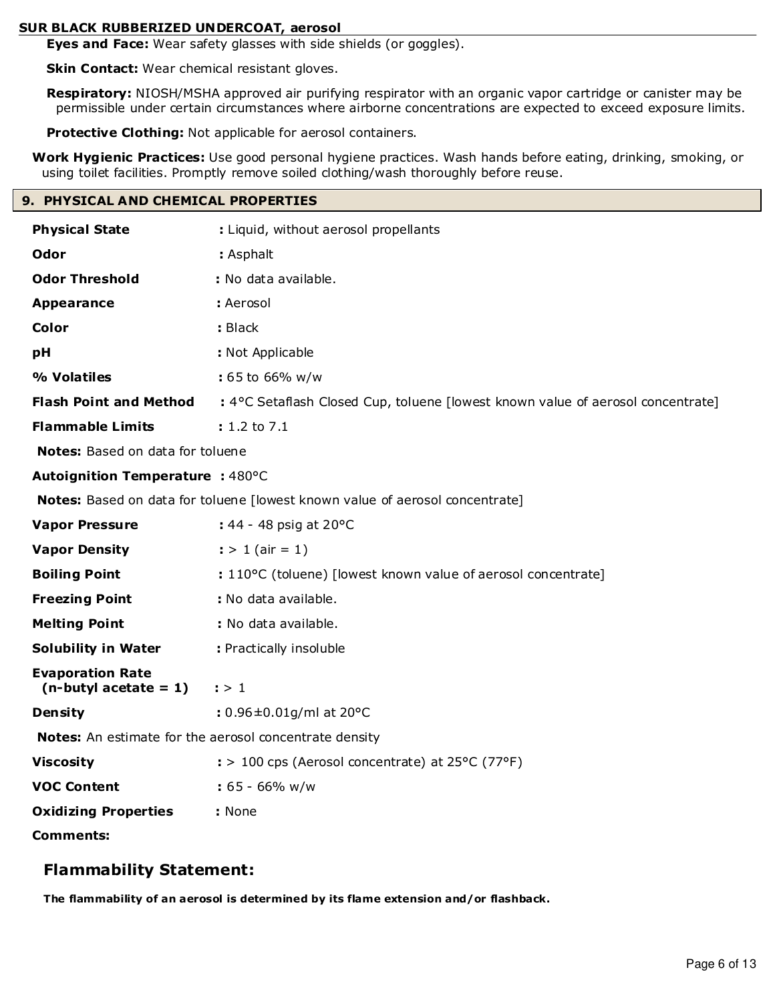**Eyes and Face:** Wear safety glasses with side shields (or goggles).

**Skin Contact:** Wear chemical resistant gloves.

**Respiratory:** NIOSH/MSHA approved air purifying respirator with an organic vapor cartridge or canister may be permissible under certain circumstances where airborne concentrations are expected to exceed exposure limits.

**Protective Clothing:** Not applicable for aerosol containers.

**Work Hygienic Practices:** Use good personal hygiene practices. Wash hands before eating, drinking, smoking, or using toilet facilities. Promptly remove soiled clothing/wash thoroughly before reuse.

# **9. PHYSICAL AND CHEMICAL PROPERTIES**

| <b>Physical State</b>                                  | : Liquid, without aerosol propellants                                           |  |  |
|--------------------------------------------------------|---------------------------------------------------------------------------------|--|--|
| <b>Odor</b>                                            | : Asphalt                                                                       |  |  |
| <b>Odor Threshold</b>                                  | : No data available.                                                            |  |  |
| <b>Appearance</b>                                      | : Aerosol                                                                       |  |  |
| Color                                                  | : Black                                                                         |  |  |
| pH                                                     | : Not Applicable                                                                |  |  |
| % Volatiles                                            | : 65 to 66% w/w                                                                 |  |  |
| <b>Flash Point and Method</b>                          | : 4°C Setaflash Closed Cup, toluene [lowest known value of aerosol concentrate] |  |  |
| <b>Flammable Limits</b>                                | $: 1.2 \text{ to } 7.1$                                                         |  |  |
| Notes: Based on data for toluene                       |                                                                                 |  |  |
| <b>Autoignition Temperature : 480°C</b>                |                                                                                 |  |  |
|                                                        | Notes: Based on data for toluene [lowest known value of aerosol concentrate]    |  |  |
| <b>Vapor Pressure</b>                                  | : 44 - 48 psig at 20°C                                                          |  |  |
| <b>Vapor Density</b>                                   | $:$ > 1 (air = 1)                                                               |  |  |
| <b>Boiling Point</b>                                   | : 110°C (toluene) [lowest known value of aerosol concentrate]                   |  |  |
| <b>Freezing Point</b>                                  | : No data available.                                                            |  |  |
| <b>Melting Point</b>                                   | : No data available.                                                            |  |  |
| <b>Solubility in Water</b>                             | : Practically insoluble                                                         |  |  |
| <b>Evaporation Rate</b><br>$(n$ -butyl acetate = 1)    | : > 1                                                                           |  |  |
| Density                                                | : $0.96 \pm 0.01$ g/ml at 20°C                                                  |  |  |
| Notes: An estimate for the aerosol concentrate density |                                                                                 |  |  |
| <b>Viscosity</b>                                       | $\div$ 100 cps (Aerosol concentrate) at 25°C (77°F)                             |  |  |
| <b>VOC Content</b>                                     | $: 65 - 66\%$ w/w                                                               |  |  |
| <b>Oxidizing Properties</b>                            | : None                                                                          |  |  |
| Comments:                                              |                                                                                 |  |  |

# **Flammability Statement:**

**The flammability of an aerosol is determined by its flame extension and/or flashback.**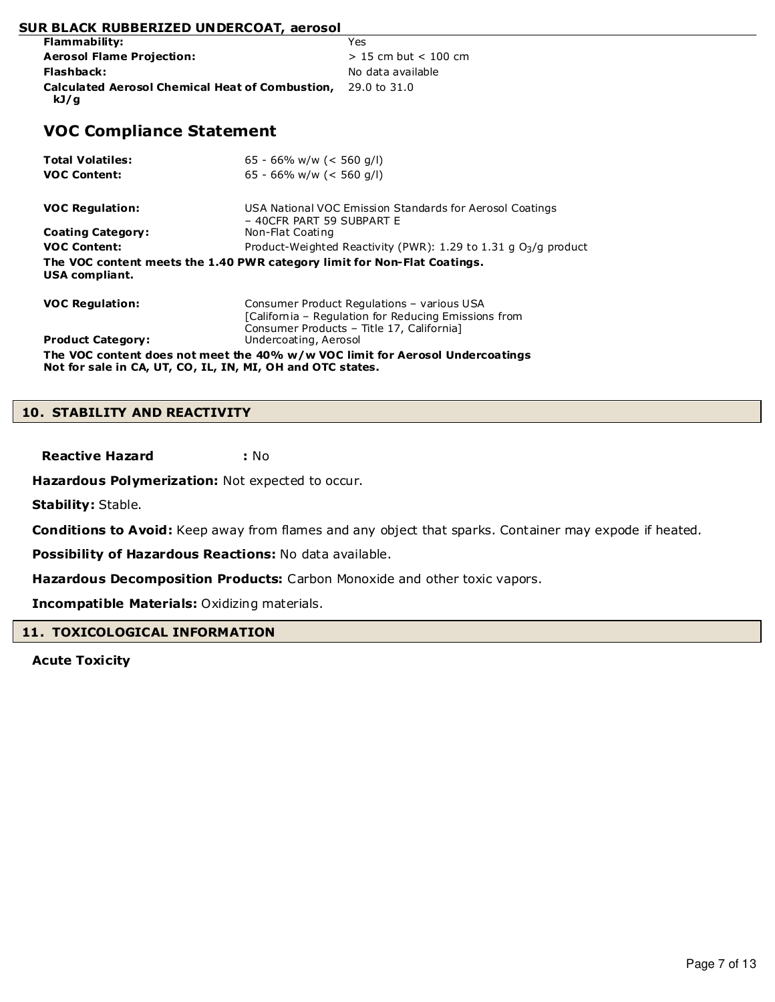| Flammability:                                          | Yes                      |
|--------------------------------------------------------|--------------------------|
| <b>Aerosol Flame Projection:</b>                       | $> 15$ cm but $< 100$ cm |
| Flashback:                                             | No data available        |
| <b>Calculated Aerosol Chemical Heat of Combustion,</b> | 29.0 to 31.0             |
| kJ/g                                                   |                          |

# **VOC Compliance Statement**

| <b>Total Volatiles:</b><br><b>VOC Content:</b>                                                                                              | 65 - 66% w/w (< 560 g/l)<br>65 - 66% w/w (< 560 q/l)                                                                                            |  |
|---------------------------------------------------------------------------------------------------------------------------------------------|-------------------------------------------------------------------------------------------------------------------------------------------------|--|
| <b>VOC Regulation:</b>                                                                                                                      | USA National VOC Emission Standards for Aerosol Coatings                                                                                        |  |
| <b>Coating Category:</b>                                                                                                                    | - 40CFR PART 59 SUBPART E<br>Non-Flat Coating                                                                                                   |  |
| <b>VOC Content:</b>                                                                                                                         | Product-Weighted Reactivity (PWR): 1.29 to 1.31 g $O_3/q$ product                                                                               |  |
| USA compliant.                                                                                                                              | The VOC content meets the 1.40 PWR category limit for Non-Flat Coatings.                                                                        |  |
| <b>VOC Regulation:</b>                                                                                                                      | Consumer Product Regulations - various USA<br>[California – Regulation for Reducing Emissions from<br>Consumer Products - Title 17, California] |  |
| <b>Product Category:</b>                                                                                                                    | Undercoating, Aerosol                                                                                                                           |  |
| The VOC content does not meet the 40% w/w VOC limit for Aerosol Undercoatings<br>Not for sale in CA, UT, CO, IL, IN, MI, OH and OTC states. |                                                                                                                                                 |  |

#### **10. STABILITY AND REACTIVITY**

**Reactive Hazard :** No

**Hazardous Polymerization:** Not expected to occur.

**Stability:** Stable.

**Conditions to Avoid:** Keep away from flames and any object that sparks. Container may expode if heated.

**Possibility of Hazardous Reactions:** No data available.

**Hazardous Decomposition Products:** Carbon Monoxide and other toxic vapors.

**Incompatible Materials:** Oxidizing materials.

# **11. TOXICOLOGICAL INFORMATION**

**Acute Toxicity**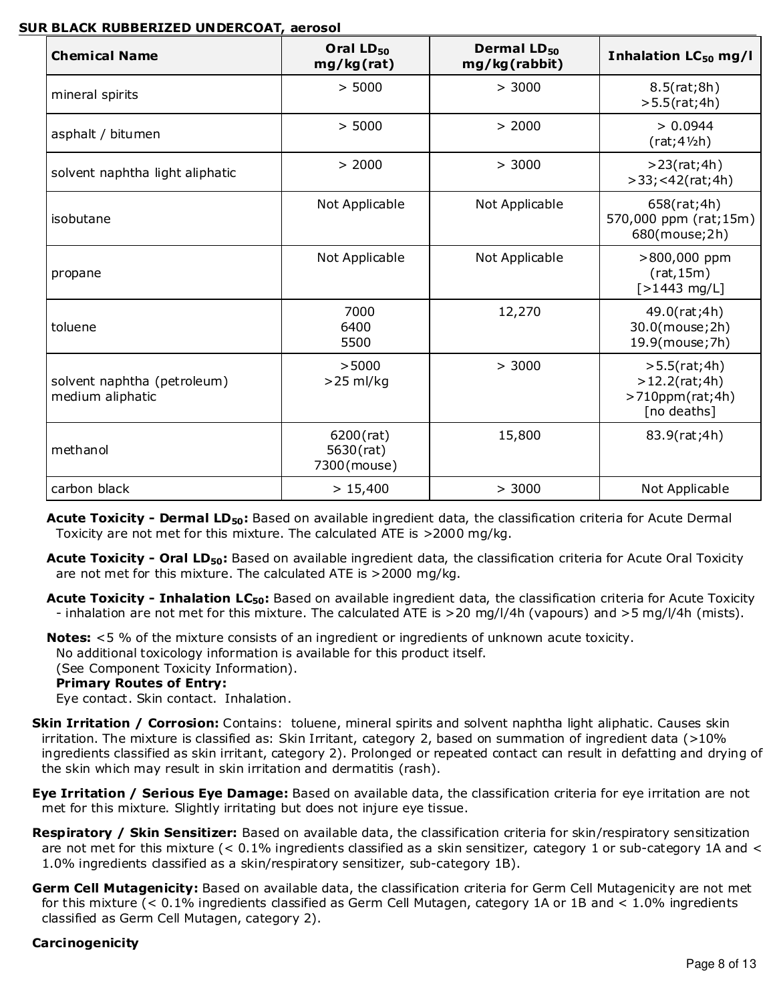| <b>Chemical Name</b>                            | Oral LD <sub>50</sub><br>mg/kg(rat)      | Dermal LD <sub>50</sub><br>mg/kg(rabbit) | Inhalation LC <sub>50</sub> mg/l                                |
|-------------------------------------------------|------------------------------------------|------------------------------------------|-----------------------------------------------------------------|
| mineral spirits                                 | > 5000                                   | > 3000                                   | 8.5(rat;8h)<br>$>5.5$ (rat;4h)                                  |
| asphalt / bitumen                               | > 5000                                   | > 2000                                   | > 0.0944<br>$(rat;4\frac{1}{2}h)$                               |
| solvent naphtha light aliphatic                 | > 2000                                   | > 3000                                   | >23(rat;4h)<br>>33; < 42(rat; 4h)                               |
| isobutane                                       | Not Applicable                           | Not Applicable                           | 658(rat;4h)<br>570,000 ppm (rat;15m)<br>680(mouse;2h)           |
| propane                                         | Not Applicable                           | Not Applicable                           | >800,000 ppm<br>(rat, 15m)<br>$[>1443$ mg/L]                    |
| toluene                                         | 7000<br>6400<br>5500                     | 12,270                                   | 49.0(rat;4h)<br>30.0(mouse; 2h)<br>19.9(mouse; 7h)              |
| solvent naphtha (petroleum)<br>medium aliphatic | >5000<br>$>25$ ml/kg                     | > 3000                                   | >5.5(rat;4h)<br>>12.2(rat;4h)<br>>710ppm(rat;4h)<br>[no deaths] |
| methanol                                        | $6200$ (rat)<br>5630(rat)<br>7300(mouse) | 15,800                                   | 83.9(rat;4h)                                                    |
| carbon black                                    | > 15,400                                 | > 3000                                   | Not Applicable                                                  |

**Acute Toxicity - Dermal LD50:** Based on available ingredient data, the classification criteria for Acute Dermal Toxicity are not met for this mixture. The calculated ATE is >2000 mg/kg.

**Acute Toxicity - Oral LD50:** Based on available ingredient data, the classification criteria for Acute Oral Toxicity are not met for this mixture. The calculated ATE is >2000 mg/kg.

**Acute Toxicity - Inhalation LC50:** Based on available ingredient data, the classification criteria for Acute Toxicity - inhalation are not met for this mixture. The calculated ATE is >20 mg/l/4h (vapours) and >5 mg/l/4h (mists).

**Notes:** <5 % of the mixture consists of an ingredient or ingredients of unknown acute toxicity. No additional toxicology information is available for this product itself. (See Component Toxicity Information).

# **Primary Routes of Entry:**

Eye contact. Skin contact. Inhalation.

- **Skin Irritation / Corrosion:** Contains: toluene, mineral spirits and solvent naphtha light aliphatic. Causes skin irritation. The mixture is classified as: Skin Irritant, category 2, based on summation of ingredient data (>10% ingredients classified as skin irritant, category 2). Prolonged or repeated contact can result in defatting and drying of the skin which may result in skin irritation and dermatitis (rash).
- **Eye Irritation / Serious Eye Damage:** Based on available data, the classification criteria for eye irritation are not met for this mixture. Slightly irritating but does not injure eye tissue.
- **Respiratory / Skin Sensitizer:** Based on available data, the classification criteria for skin/respiratory sensitization are not met for this mixture (< 0.1% ingredients classified as a skin sensitizer, category 1 or sub-category 1A and < 1.0% ingredients classified as a skin/respiratory sensitizer, sub-category 1B).
- **Germ Cell Mutagenicity:** Based on available data, the classification criteria for Germ Cell Mutagenicity are not met for this mixture (< 0.1% ingredients classified as Germ Cell Mutagen, category 1A or 1B and < 1.0% ingredients classified as Germ Cell Mutagen, category 2).

# **Carcinogenicity**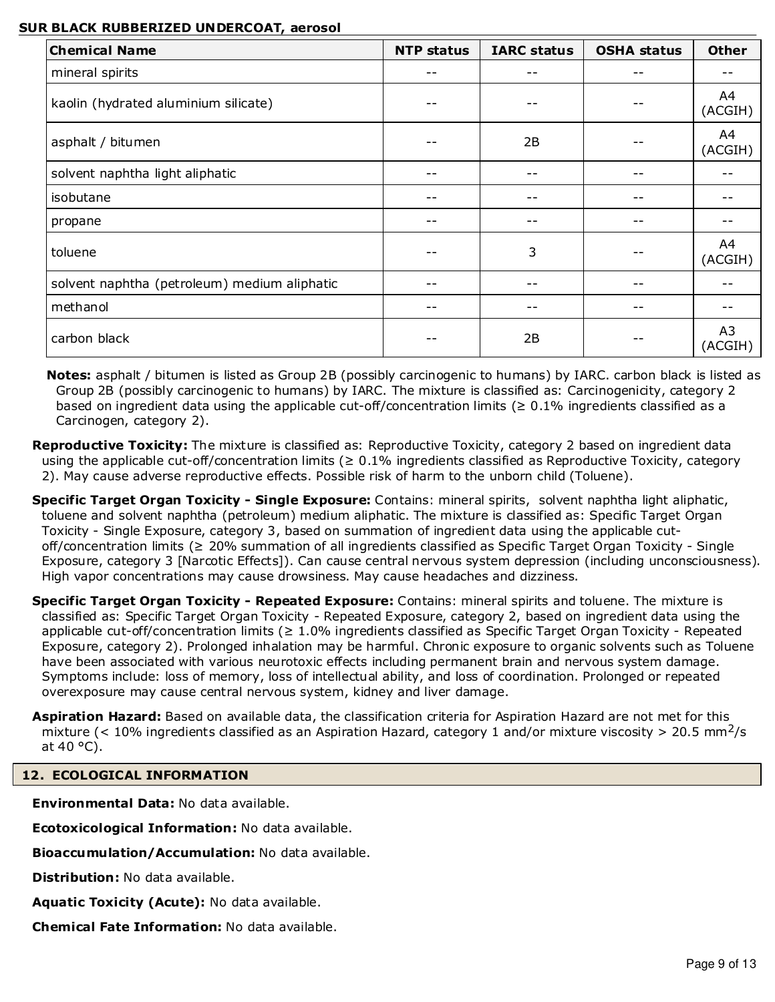| <b>Chemical Name</b>                         | <b>NTP status</b> | <b>IARC status</b> | <b>OSHA status</b> | <b>Other</b>  |
|----------------------------------------------|-------------------|--------------------|--------------------|---------------|
| mineral spirits                              | --                |                    |                    |               |
| kaolin (hydrated aluminium silicate)         |                   |                    |                    | A4<br>(ACGIH) |
| asphalt / bitumen                            |                   | 2B                 |                    | A4<br>(ACGIH) |
| solvent naphtha light aliphatic              | --                |                    |                    |               |
| isobutane                                    | --                |                    |                    |               |
| propane                                      | --                |                    |                    |               |
| toluene                                      | --                | 3                  |                    | A4<br>(ACGIH) |
| solvent naphtha (petroleum) medium aliphatic | --                |                    |                    |               |
| methanol                                     |                   |                    |                    |               |
| carbon black                                 | --                | 2B                 |                    | A3<br>(ACGIH) |

**Notes:** asphalt / bitumen is listed as Group 2B (possibly carcinogenic to humans) by IARC. carbon black is listed as Group 2B (possibly carcinogenic to humans) by IARC. The mixture is classified as: Carcinogenicity, category 2 based on ingredient data using the applicable cut-off/concentration limits ( $\geq 0.1\%$  ingredients classified as a Carcinogen, category 2).

- **Reproductive Toxicity:** The mixture is classified as: Reproductive Toxicity, category 2 based on ingredient data using the applicable cut-off/concentration limits ( $\geq 0.1\%$  ingredients classified as Reproductive Toxicity, category 2). May cause adverse reproductive effects. Possible risk of harm to the unborn child (Toluene).
- **Specific Target Organ Toxicity Single Exposure:** Contains: mineral spirits, solvent naphtha light aliphatic, toluene and solvent naphtha (petroleum) medium aliphatic. The mixture is classified as: Specific Target Organ Toxicity - Single Exposure, category 3, based on summation of ingredient data using the applicable cutoff/concentration limits (≥ 20% summation of all ingredients classified as Specific Target Organ Toxicity - Single Exposure, category 3 [Narcotic Effects]). Can cause central nervous system depression (including unconsciousness). High vapor concentrations may cause drowsiness. May cause headaches and dizziness.
- **Specific Target Organ Toxicity Repeated Exposure:** Contains: mineral spirits and toluene. The mixture is classified as: Specific Target Organ Toxicity - Repeated Exposure, category 2, based on ingredient data using the applicable cut-off/concentration limits (≥ 1.0% ingredients classified as Specific Target Organ Toxicity - Repeated Exposure, category 2). Prolonged inhalation may be harmful. Chronic exposure to organic solvents such as Toluene have been associated with various neurotoxic effects including permanent brain and nervous system damage. Symptoms include: loss of memory, loss of intellectual ability, and loss of coordination. Prolonged or repeated overexposure may cause central nervous system, kidney and liver damage.
- **Aspiration Hazard:** Based on available data, the classification criteria for Aspiration Hazard are not met for this mixture (< 10% ingredients classified as an Aspiration Hazard, category 1 and/or mixture viscosity > 20.5 mm<sup>2</sup>/s at  $40^{\circ}$ C).

# **12. ECOLOGICAL INFORMATION**

**Environmental Data:** No data available.

**Ecotoxicological Information:** No data available.

**Bioaccumulation/Accumulation:** No data available.

**Distribution:** No data available.

**Aquatic Toxicity (Acute):** No data available.

**Chemical Fate Information:** No data available.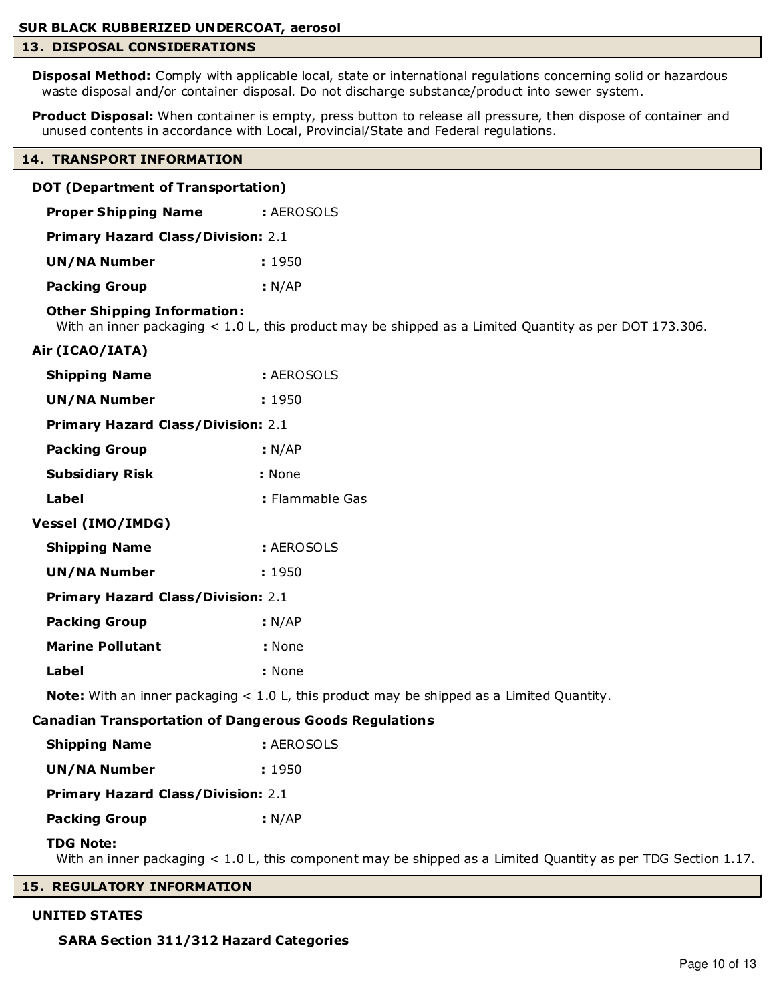# **13. DISPOSAL CONSIDERATIONS**

**Disposal Method:** Comply with applicable local, state or international regulations concerning solid or hazardous waste disposal and/or container disposal. Do not discharge substance/product into sewer system.

**Product Disposal:** When container is empty, press button to release all pressure, then dispose of container and unused contents in accordance with Local, Provincial/State and Federal regulations.

#### **14. TRANSPORT INFORMATION**

| DOT (Department of Transportation) |                                           |                                                                                                               |
|------------------------------------|-------------------------------------------|---------------------------------------------------------------------------------------------------------------|
|                                    | <b>Proper Shipping Name</b>               | : AEROSOLS                                                                                                    |
|                                    | <b>Primary Hazard Class/Division: 2.1</b> |                                                                                                               |
| <b>UN/NA Number</b>                |                                           | : 1950                                                                                                        |
| <b>Packing Group</b>               |                                           | : N/AP                                                                                                        |
|                                    | <b>Other Shipping Information:</b>        | With an inner packaging $< 1.0$ L, this product may be shipped as a Limited Quantity as per DOT 173.306.      |
| Air (ICAO/IATA)                    |                                           |                                                                                                               |
| <b>Shipping Name</b>               |                                           | : AEROSOLS                                                                                                    |
| <b>UN/NA Number</b>                |                                           | : 1950                                                                                                        |
|                                    | <b>Primary Hazard Class/Division: 2.1</b> |                                                                                                               |
| <b>Packing Group</b>               |                                           | : N/AP                                                                                                        |
| <b>Subsidiary Risk</b>             |                                           | : None                                                                                                        |
| Label                              |                                           | : Flammable Gas                                                                                               |
| <b>Vessel (IMO/IMDG)</b>           |                                           |                                                                                                               |
| <b>Shipping Name</b>               |                                           | : AEROSOLS                                                                                                    |
| <b>UN/NA Number</b>                |                                           | : 1950                                                                                                        |
|                                    | <b>Primary Hazard Class/Division: 2.1</b> |                                                                                                               |
| <b>Packing Group</b>               |                                           | : N/AP                                                                                                        |
| <b>Marine Pollutant</b>            |                                           | : None                                                                                                        |
| Label                              |                                           | : None                                                                                                        |
|                                    |                                           | <b>Note:</b> With an inner packaging $< 1.0$ L, this product may be shipped as a Limited Quantity.            |
|                                    |                                           | <b>Canadian Transportation of Dangerous Goods Regulations</b>                                                 |
| <b>Shipping Name</b>               |                                           | : AEROSOLS                                                                                                    |
| <b>UN/NA Number</b>                |                                           | : 1950                                                                                                        |
|                                    | <b>Primary Hazard Class/Division: 2.1</b> |                                                                                                               |
| <b>Packing Group</b>               |                                           | : N/AP                                                                                                        |
| <b>TDG Note:</b>                   |                                           | With an inner packaging < 1.0 L, this component may be shipped as a Limited Quantity as per TDG Section 1.17. |

# **15. REGULATORY INFORMATION**

#### **UNITED STATES**

 **SARA Section 311/312 Hazard Categories**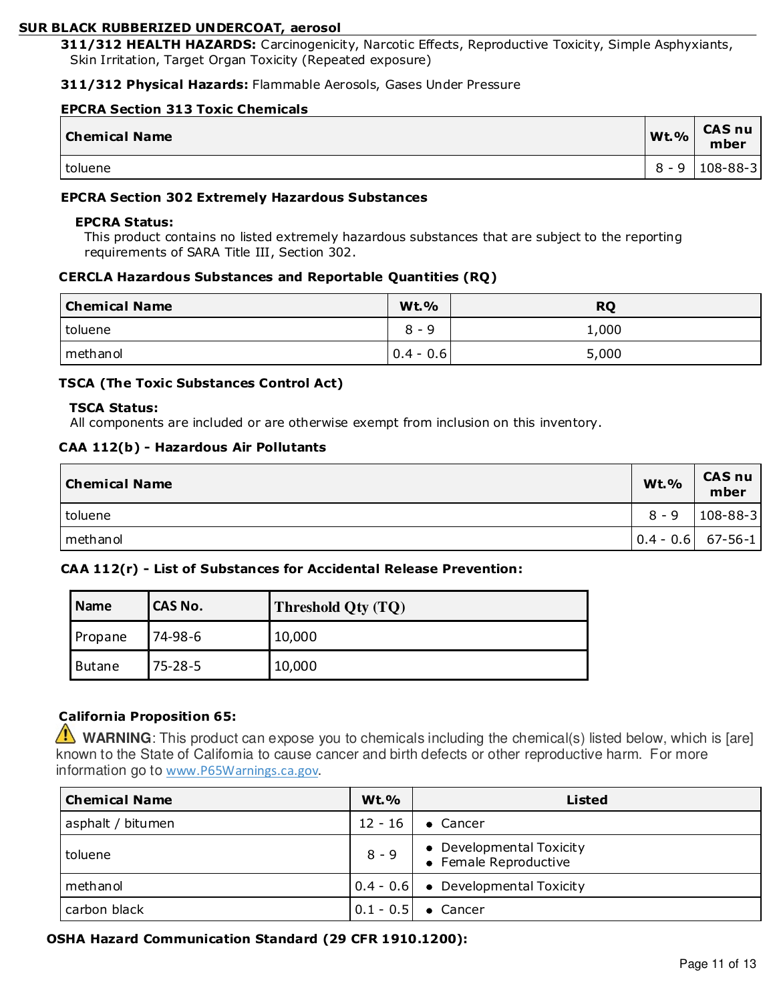**311/312 HEALTH HAZARDS:** Carcinogenicity, Narcotic Effects, Reproductive Toxicity, Simple Asphyxiants, Skin Irritation, Target Organ Toxicity (Repeated exposure)

#### **311/312 Physical Hazards:** Flammable Aerosols, Gases Under Pressure

#### **EPCRA Section 313 Toxic Chemicals**

| <b>Chemical Name</b> | <b>Wt.%</b>         | <b>CAS nu</b><br>mber |
|----------------------|---------------------|-----------------------|
| toluene              | <sub>R</sub><br>- 9 | $108 - 88 - 3$        |

# **EPCRA Section 302 Extremely Hazardous Substances**

# **EPCRA Status:**

This product contains no listed extremely hazardous substances that are subject to the reporting requirements of SARA Title III, Section 302.

#### **CERCLA Hazardous Substances and Reportable Quantities (RQ)**

| <b>Chemical Name</b> | <b>Wt.%</b>   | <b>RQ</b> |
|----------------------|---------------|-----------|
| <i>I</i> toluene     | $8 -$<br>- 9  | ,000      |
| methanol             | $ 0.4 - 0.6 $ | 5,000     |

#### **TSCA (The Toxic Substances Control Act)**

#### **TSCA Status:**

All components are included or are otherwise exempt from inclusion on this inventory.

#### **CAA 112(b) - Hazardous Air Pollutants**

| <b>Chemical Name</b> | <b>Wt.%</b> | <b>CAS nu</b><br>mber                                   |
|----------------------|-------------|---------------------------------------------------------|
| toluene              | $8 - 9$     | $108 - 88 - 3$                                          |
| methanol             |             | $\begin{bmatrix} 0.4 - 0.6 & 67 - 56 - 1 \end{bmatrix}$ |

# **CAA 112(r) - List of Substances for Accidental Release Prevention:**

| Name    | <b>CAS No.</b> | Threshold Qty (TQ) |
|---------|----------------|--------------------|
| Propane | 74-98-6        | 10,000             |
| Butane  | $75 - 28 - 5$  | 10,000             |

# **California Proposition 65:**

**WARNING**: This product can expose you to chemicals including the chemical(s) listed below, which is [are] known to the State of California to cause cancer and birth defects or other reproductive harm. For more information go to www.P65Warnings.ca.gov.

| <b>Chemical Name</b> | <b>Wt.%</b> | <b>Listed</b>                                          |  |
|----------------------|-------------|--------------------------------------------------------|--|
| asphalt / bitumen    | $12 - 16$   | $\bullet$ Cancer                                       |  |
| toluene              | $8 - 9$     | • Developmental Toxicity<br>• Female Reproductive      |  |
| methanol             |             | $\vert 0.4 - 0.6 \vert \bullet$ Developmental Toxicity |  |
| carbon black         |             | $0.1 - 0.5$ $\bullet$ Cancer                           |  |

#### **OSHA Hazard Communication Standard (29 CFR 1910.1200):**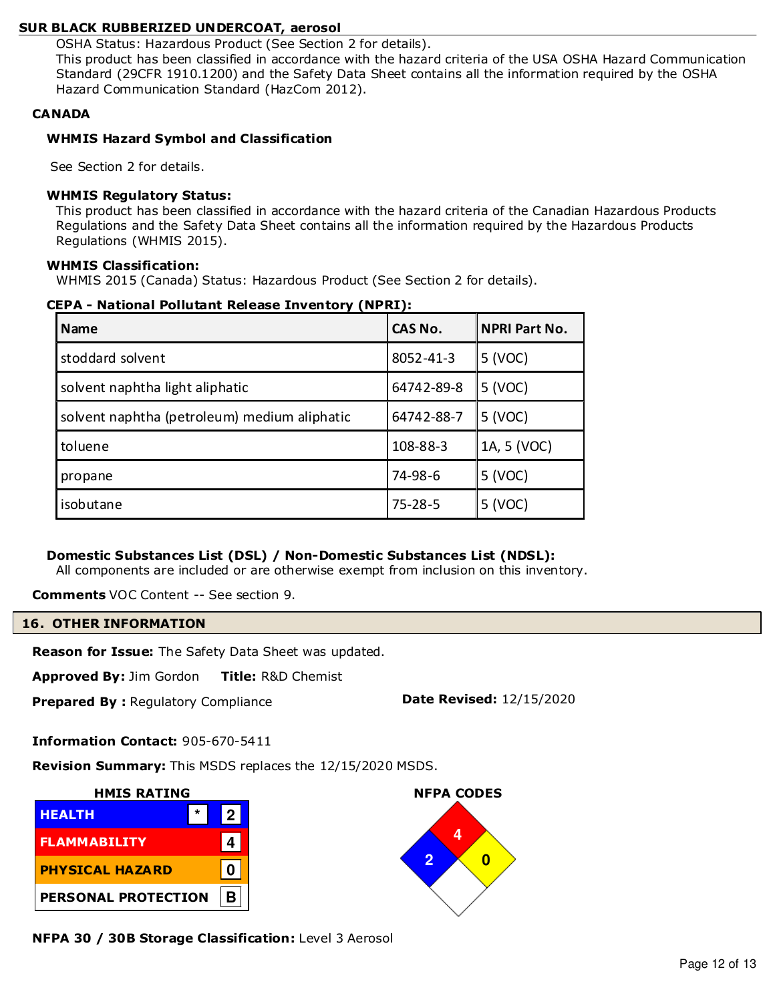OSHA Status: Hazardous Product (See Section 2 for details).

This product has been classified in accordance with the hazard criteria of the USA OSHA Hazard Communication Standard (29CFR 1910.1200) and the Safety Data Sheet contains all the information required by the OSHA Hazard Communication Standard (HazCom 2012).

# **CANADA**

# **WHMIS Hazard Symbol and Classification**

See Section 2 for details.

# **WHMIS Regulatory Status:**

This product has been classified in accordance with the hazard criteria of the Canadian Hazardous Products Regulations and the Safety Data Sheet contains all the information required by the Hazardous Products Regulations (WHMIS 2015).

# **WHMIS Classification:**

WHMIS 2015 (Canada) Status: Hazardous Product (See Section 2 for details).

| CEPA - National Pollutant Release Inventory (NPRI): |
|-----------------------------------------------------|
|-----------------------------------------------------|

| <b>Name</b>                                  | CAS No.       | <b>NPRI Part No.</b> |
|----------------------------------------------|---------------|----------------------|
| stoddard solvent                             | 8052-41-3     | 5 (VOC)              |
| solvent naphtha light aliphatic              | 64742-89-8    | 5 (VOC)              |
| solvent naphtha (petroleum) medium aliphatic | 64742-88-7    | 5 (VOC)              |
| toluene                                      | 108-88-3      | 1A, 5 (VOC)          |
| propane                                      | 74-98-6       | 5 (VOC)              |
| isobutane                                    | $75 - 28 - 5$ | 5 (VOC)              |

# **Domestic Substances List (DSL) / Non-Domestic Substances List (NDSL):**

All components are included or are otherwise exempt from inclusion on this inventory.

**Comments** VOC Content -- See section 9.

#### **16. OTHER INFORMATION**

**Reason for Issue:** The Safety Data Sheet was updated.

**Approved By:** Jim Gordon **Title:** R&D Chemist

**Prepared By: Regulatory Compliance <b>Date Revised:** 12/15/2020

**Information Contact:** 905-670-5411

**Revision Summary:** This MSDS replaces the 12/15/2020 MSDS.



**NFPA 30 / 30B Storage Classification:** Level 3 Aerosol